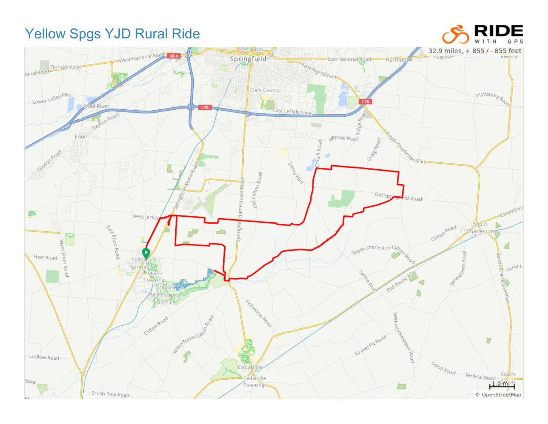## Yellow Spgs YJD Rural Ride